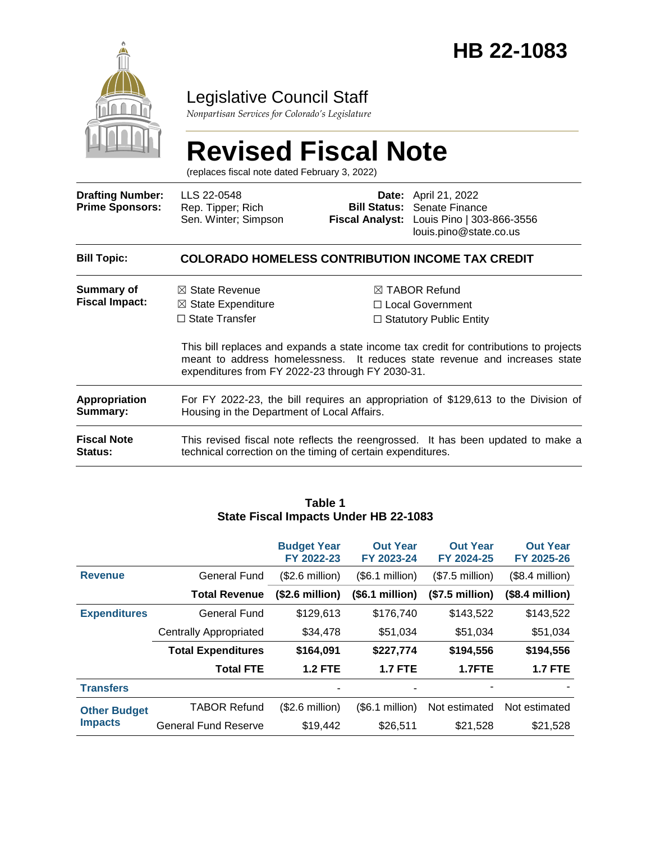

### Legislative Council Staff

*Nonpartisan Services for Colorado's Legislature*

# **Revised Fiscal Note**

(replaces fiscal note dated February 3, 2022)

| <b>Drafting Number:</b><br><b>Prime Sponsors:</b> | LLS 22-0548<br>Rep. Tipper; Rich<br>Sen. Winter; Simpson                                                                                                                                                                  |  | Date: April 21, 2022<br><b>Bill Status:</b> Senate Finance<br>Fiscal Analyst: Louis Pino   303-866-3556<br>louis.pino@state.co.us |  |  |
|---------------------------------------------------|---------------------------------------------------------------------------------------------------------------------------------------------------------------------------------------------------------------------------|--|-----------------------------------------------------------------------------------------------------------------------------------|--|--|
| <b>Bill Topic:</b>                                | <b>COLORADO HOMELESS CONTRIBUTION INCOME TAX CREDIT</b>                                                                                                                                                                   |  |                                                                                                                                   |  |  |
| Summary of<br><b>Fiscal Impact:</b>               | $\boxtimes$ State Revenue<br>$\boxtimes$ State Expenditure<br>$\Box$ State Transfer                                                                                                                                       |  | $\boxtimes$ TABOR Refund<br>□ Local Government<br>$\Box$ Statutory Public Entity                                                  |  |  |
|                                                   | This bill replaces and expands a state income tax credit for contributions to projects<br>meant to address homelessness. It reduces state revenue and increases state<br>expenditures from FY 2022-23 through FY 2030-31. |  |                                                                                                                                   |  |  |
| Appropriation<br>Summary:                         | For FY 2022-23, the bill requires an appropriation of \$129,613 to the Division of<br>Housing in the Department of Local Affairs.                                                                                         |  |                                                                                                                                   |  |  |
| <b>Fiscal Note</b><br>Status:                     | This revised fiscal note reflects the reengrossed. It has been updated to make a<br>technical correction on the timing of certain expenditures.                                                                           |  |                                                                                                                                   |  |  |

#### **Budget Year FY 2022-23 Out Year FY 2023-24 Out Year FY 2024-25 Out Year FY 2025-26** Revenue **General Fund** (\$2.6 million) (\$6.1 million) (\$7.5 million) (\$8.4 million) **Total Revenue (\$2.6 million) (\$6.1 million) (\$7.5 million) (\$8.4 million) Expenditures** General Fund \$129,613 \$176,740 \$143,522 \$143,522 Centrally Appropriated \$34,478 \$51,034 \$51,034 \$51,034 **Total Expenditures \$164,091 \$227,774 \$194,556 \$194,556 Total FTE 1.2 FTE 1.7 FTE 1.7FTE 1.7 FTE Transfers** *Transfers* **Other Budget Impacts** TABOR Refund (\$2.6 million) (\$6.1 million) Not estimated Not estimated General Fund Reserve  $$19,442$   $$26,511$   $$21,528$   $$21,528$

#### **Table 1 State Fiscal Impacts Under HB 22-1083**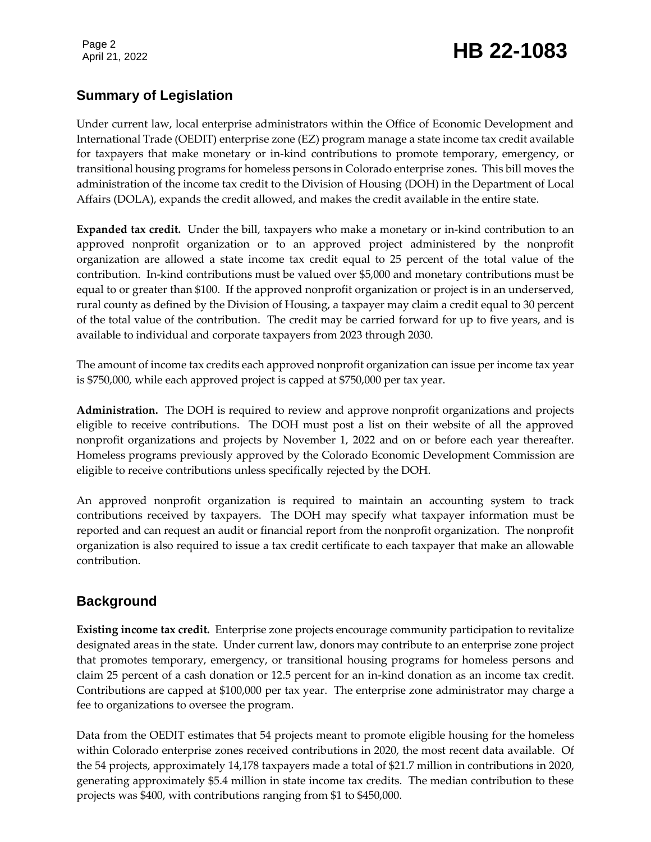### Page 2<br>April 21, 2022 **HB 22-1083**

#### **Summary of Legislation**

Under current law, local enterprise administrators within the Office of Economic Development and International Trade (OEDIT) enterprise zone (EZ) program manage a state income tax credit available for taxpayers that make monetary or in-kind contributions to promote temporary, emergency, or transitional housing programs for homeless persons in Colorado enterprise zones. This bill moves the administration of the income tax credit to the Division of Housing (DOH) in the Department of Local Affairs (DOLA), expands the credit allowed, and makes the credit available in the entire state.

**Expanded tax credit.** Under the bill, taxpayers who make a monetary or in-kind contribution to an approved nonprofit organization or to an approved project administered by the nonprofit organization are allowed a state income tax credit equal to 25 percent of the total value of the contribution. In-kind contributions must be valued over \$5,000 and monetary contributions must be equal to or greater than \$100. If the approved nonprofit organization or project is in an underserved, rural county as defined by the Division of Housing, a taxpayer may claim a credit equal to 30 percent of the total value of the contribution. The credit may be carried forward for up to five years, and is available to individual and corporate taxpayers from 2023 through 2030.

The amount of income tax credits each approved nonprofit organization can issue per income tax year is \$750,000, while each approved project is capped at \$750,000 per tax year.

**Administration.** The DOH is required to review and approve nonprofit organizations and projects eligible to receive contributions. The DOH must post a list on their website of all the approved nonprofit organizations and projects by November 1, 2022 and on or before each year thereafter. Homeless programs previously approved by the Colorado Economic Development Commission are eligible to receive contributions unless specifically rejected by the DOH.

An approved nonprofit organization is required to maintain an accounting system to track contributions received by taxpayers. The DOH may specify what taxpayer information must be reported and can request an audit or financial report from the nonprofit organization. The nonprofit organization is also required to issue a tax credit certificate to each taxpayer that make an allowable contribution.

### **Background**

**Existing income tax credit.** Enterprise zone projects encourage community participation to revitalize designated areas in the state. Under current law, donors may contribute to an enterprise zone project that promotes temporary, emergency, or transitional housing programs for homeless persons and claim 25 percent of a cash donation or 12.5 percent for an in-kind donation as an income tax credit. Contributions are capped at \$100,000 per tax year. The enterprise zone administrator may charge a fee to organizations to oversee the program.

Data from the OEDIT estimates that 54 projects meant to promote eligible housing for the homeless within Colorado enterprise zones received contributions in 2020, the most recent data available. Of the 54 projects, approximately 14,178 taxpayers made a total of \$21.7 million in contributions in 2020, generating approximately \$5.4 million in state income tax credits. The median contribution to these projects was \$400, with contributions ranging from \$1 to \$450,000.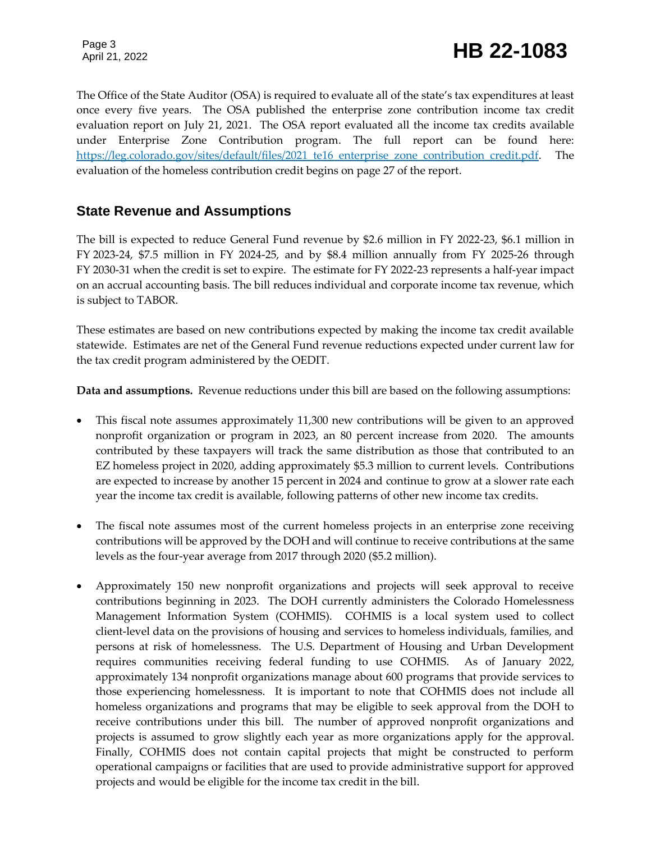The Office of the State Auditor (OSA) is required to evaluate all of the state's tax expenditures at least once every five years. The OSA published the enterprise zone contribution income tax credit evaluation report on July 21, 2021. The OSA report evaluated all the income tax credits available under Enterprise Zone Contribution program. The full report can be found here: [https://leg.colorado.gov/sites/default/files/2021\\_te16\\_enterprise\\_zone\\_contribution\\_credit.pdf.](https://leg.colorado.gov/sites/default/files/2021_te16_enterprise_zone_contribution_credit.pdf) The evaluation of the homeless contribution credit begins on page 27 of the report.

#### **State Revenue and Assumptions**

The bill is expected to reduce General Fund revenue by \$2.6 million in FY 2022-23, \$6.1 million in FY 2023-24, \$7.5 million in FY 2024-25, and by \$8.4 million annually from FY 2025-26 through FY 2030-31 when the credit is set to expire. The estimate for FY 2022-23 represents a half-year impact on an accrual accounting basis. The bill reduces individual and corporate income tax revenue, which is subject to TABOR.

These estimates are based on new contributions expected by making the income tax credit available statewide. Estimates are net of the General Fund revenue reductions expected under current law for the tax credit program administered by the OEDIT.

**Data and assumptions.** Revenue reductions under this bill are based on the following assumptions:

- This fiscal note assumes approximately 11,300 new contributions will be given to an approved nonprofit organization or program in 2023, an 80 percent increase from 2020. The amounts contributed by these taxpayers will track the same distribution as those that contributed to an EZ homeless project in 2020, adding approximately \$5.3 million to current levels. Contributions are expected to increase by another 15 percent in 2024 and continue to grow at a slower rate each year the income tax credit is available, following patterns of other new income tax credits.
- The fiscal note assumes most of the current homeless projects in an enterprise zone receiving contributions will be approved by the DOH and will continue to receive contributions at the same levels as the four-year average from 2017 through 2020 (\$5.2 million).
- Approximately 150 new nonprofit organizations and projects will seek approval to receive contributions beginning in 2023. The DOH currently administers the Colorado Homelessness Management Information System (COHMIS). COHMIS is a local system used to collect client-level data on the provisions of housing and services to homeless individuals, families, and persons at risk of homelessness. The U.S. Department of Housing and Urban Development requires communities receiving federal funding to use COHMIS. As of January 2022, approximately 134 nonprofit organizations manage about 600 programs that provide services to those experiencing homelessness. It is important to note that COHMIS does not include all homeless organizations and programs that may be eligible to seek approval from the DOH to receive contributions under this bill. The number of approved nonprofit organizations and projects is assumed to grow slightly each year as more organizations apply for the approval. Finally, COHMIS does not contain capital projects that might be constructed to perform operational campaigns or facilities that are used to provide administrative support for approved projects and would be eligible for the income tax credit in the bill.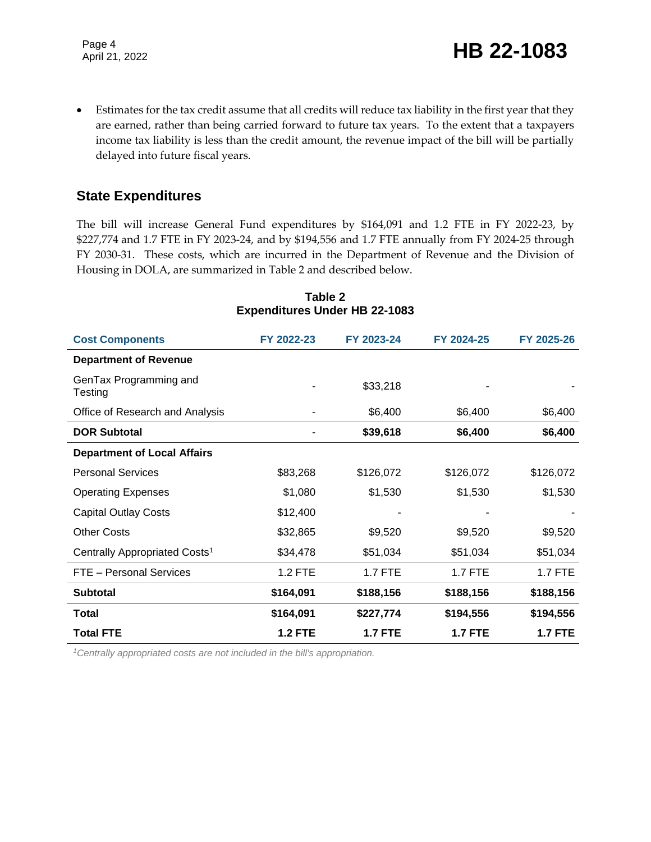Estimates for the tax credit assume that all credits will reduce tax liability in the first year that they are earned, rather than being carried forward to future tax years. To the extent that a taxpayers income tax liability is less than the credit amount, the revenue impact of the bill will be partially delayed into future fiscal years.

#### **State Expenditures**

The bill will increase General Fund expenditures by \$164,091 and 1.2 FTE in FY 2022-23, by \$227,774 and 1.7 FTE in FY 2023-24, and by \$194,556 and 1.7 FTE annually from FY 2024-25 through FY 2030-31. These costs, which are incurred in the Department of Revenue and the Division of Housing in DOLA, are summarized in Table 2 and described below.

| <b>Cost Components</b>                    | FY 2022-23     | FY 2023-24     | FY 2024-25     | FY 2025-26     |
|-------------------------------------------|----------------|----------------|----------------|----------------|
| <b>Department of Revenue</b>              |                |                |                |                |
| GenTax Programming and<br>Testing         |                | \$33,218       |                |                |
| Office of Research and Analysis           |                | \$6,400        | \$6,400        | \$6,400        |
| <b>DOR Subtotal</b>                       |                | \$39,618       | \$6,400        | \$6,400        |
| <b>Department of Local Affairs</b>        |                |                |                |                |
| <b>Personal Services</b>                  | \$83,268       | \$126,072      | \$126,072      | \$126,072      |
| <b>Operating Expenses</b>                 | \$1,080        | \$1,530        | \$1,530        | \$1,530        |
| <b>Capital Outlay Costs</b>               | \$12,400       |                |                |                |
| <b>Other Costs</b>                        | \$32,865       | \$9,520        | \$9,520        | \$9,520        |
| Centrally Appropriated Costs <sup>1</sup> | \$34,478       | \$51,034       | \$51,034       | \$51,034       |
| FTE - Personal Services                   | 1.2 FTE        | 1.7 FTE        | 1.7 FTE        | 1.7 FTE        |
| <b>Subtotal</b>                           | \$164,091      | \$188,156      | \$188,156      | \$188,156      |
| Total                                     | \$164,091      | \$227,774      | \$194,556      | \$194,556      |
| <b>Total FTE</b>                          | <b>1.2 FTE</b> | <b>1.7 FTE</b> | <b>1.7 FTE</b> | <b>1.7 FTE</b> |

#### **Table 2 Expenditures Under HB 22-1083**

*1Centrally appropriated costs are not included in the bill's appropriation.*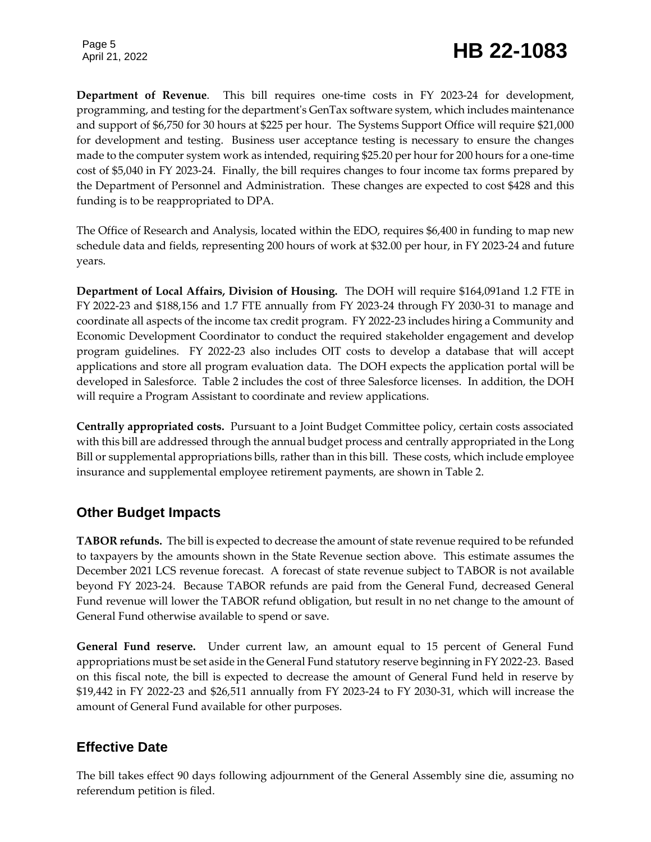## Page 5<br>April 21, 2022 **HB 22-1083**

**Department of Revenue**. This bill requires one-time costs in FY 2023-24 for development, programming, and testing for the department's GenTax software system, which includes maintenance and support of \$6,750 for 30 hours at \$225 per hour. The Systems Support Office will require \$21,000 for development and testing. Business user acceptance testing is necessary to ensure the changes made to the computer system work as intended, requiring \$25.20 per hour for 200 hours for a one-time cost of \$5,040 in FY 2023-24. Finally, the bill requires changes to four income tax forms prepared by the Department of Personnel and Administration. These changes are expected to cost \$428 and this funding is to be reappropriated to DPA.

The Office of Research and Analysis, located within the EDO, requires \$6,400 in funding to map new schedule data and fields, representing 200 hours of work at \$32.00 per hour, in FY 2023-24 and future years.

**Department of Local Affairs, Division of Housing.** The DOH will require \$164,091and 1.2 FTE in FY 2022-23 and \$188,156 and 1.7 FTE annually from FY 2023-24 through FY 2030-31 to manage and coordinate all aspects of the income tax credit program. FY 2022-23 includes hiring a Community and Economic Development Coordinator to conduct the required stakeholder engagement and develop program guidelines. FY 2022-23 also includes OIT costs to develop a database that will accept applications and store all program evaluation data. The DOH expects the application portal will be developed in Salesforce. Table 2 includes the cost of three Salesforce licenses. In addition, the DOH will require a Program Assistant to coordinate and review applications.

**Centrally appropriated costs.** Pursuant to a Joint Budget Committee policy, certain costs associated with this bill are addressed through the annual budget process and centrally appropriated in the Long Bill or supplemental appropriations bills, rather than in this bill. These costs, which include employee insurance and supplemental employee retirement payments, are shown in Table 2.

### **Other Budget Impacts**

**TABOR refunds.** The bill is expected to decrease the amount of state revenue required to be refunded to taxpayers by the amounts shown in the State Revenue section above. This estimate assumes the December 2021 LCS revenue forecast. A forecast of state revenue subject to TABOR is not available beyond FY 2023-24. Because TABOR refunds are paid from the General Fund, decreased General Fund revenue will lower the TABOR refund obligation, but result in no net change to the amount of General Fund otherwise available to spend or save.

**General Fund reserve.** Under current law, an amount equal to 15 percent of General Fund appropriations must be set aside in the General Fund statutory reserve beginning in FY 2022-23. Based on this fiscal note, the bill is expected to decrease the amount of General Fund held in reserve by \$19,442 in FY 2022-23 and \$26,511 annually from FY 2023-24 to FY 2030-31, which will increase the amount of General Fund available for other purposes.

#### **Effective Date**

The bill takes effect 90 days following adjournment of the General Assembly sine die, assuming no referendum petition is filed.